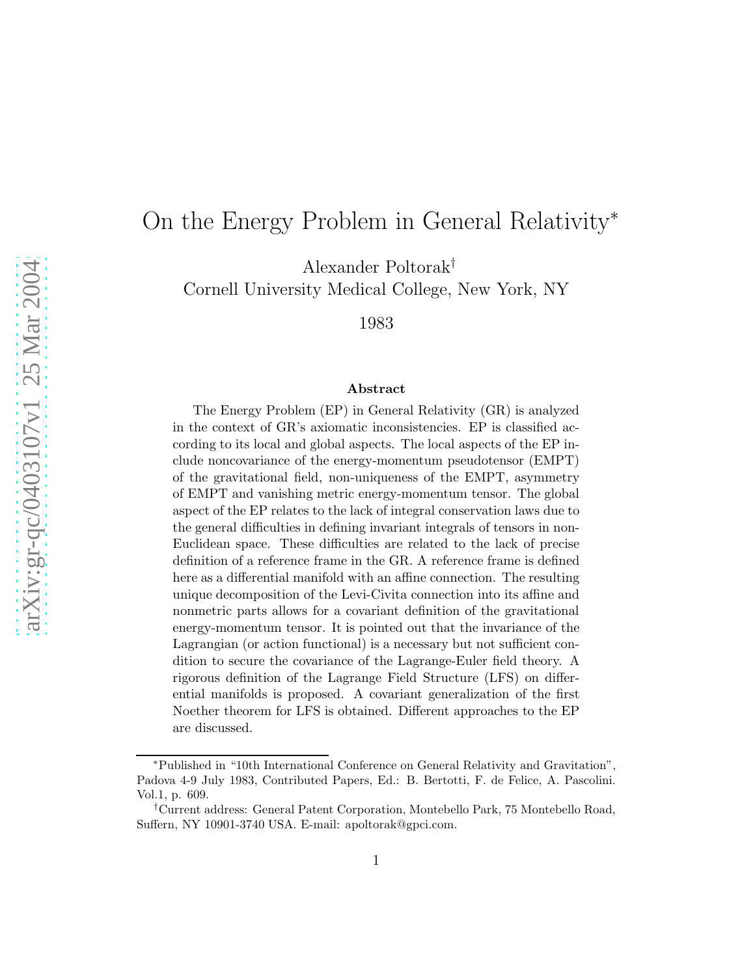## On the Energy Problem in General Relativity<sup>∗</sup>

Alexander Poltorak†

Cornell University Medical College, New York, NY

1983

## Abstract

The Energy Problem (EP) in General Relativity (GR) is analyzed in the context of GR's axiomatic inconsistencies. EP is classified according to its local and global aspects. The local aspects of the EP include noncovariance of the energy-momentum pseudotensor (EMPT) of the gravitational field, non-uniqueness of the EMPT, asymmetry of EMPT and vanishing metric energy-momentum tensor. The global aspect of the EP relates to the lack of integral conservation laws due to the general difficulties in defining invariant integrals of tensors in non-Euclidean space. These difficulties are related to the lack of precise definition of a reference frame in the GR. A reference frame is defined here as a differential manifold with an affine connection. The resulting unique decomposition of the Levi-Civita connection into its affine and nonmetric parts allows for a covariant definition of the gravitational energy-momentum tensor. It is pointed out that the invariance of the Lagrangian (or action functional) is a necessary but not sufficient condition to secure the covariance of the Lagrange-Euler field theory. A rigorous definition of the Lagrange Field Structure (LFS) on differential manifolds is proposed. A covariant generalization of the first Noether theorem for LFS is obtained. Different approaches to the EP are discussed.

<sup>∗</sup>Published in "10th International Conference on General Relativity and Gravitation", Padova 4-9 July 1983, Contributed Papers, Ed.: B. Bertotti, F. de Felice, A. Pascolini. Vol.1, p. 609.

<sup>†</sup>Current address: General Patent Corporation, Montebello Park, 75 Montebello Road, Suffern, NY 10901-3740 USA. E-mail: apoltorak@gpci.com.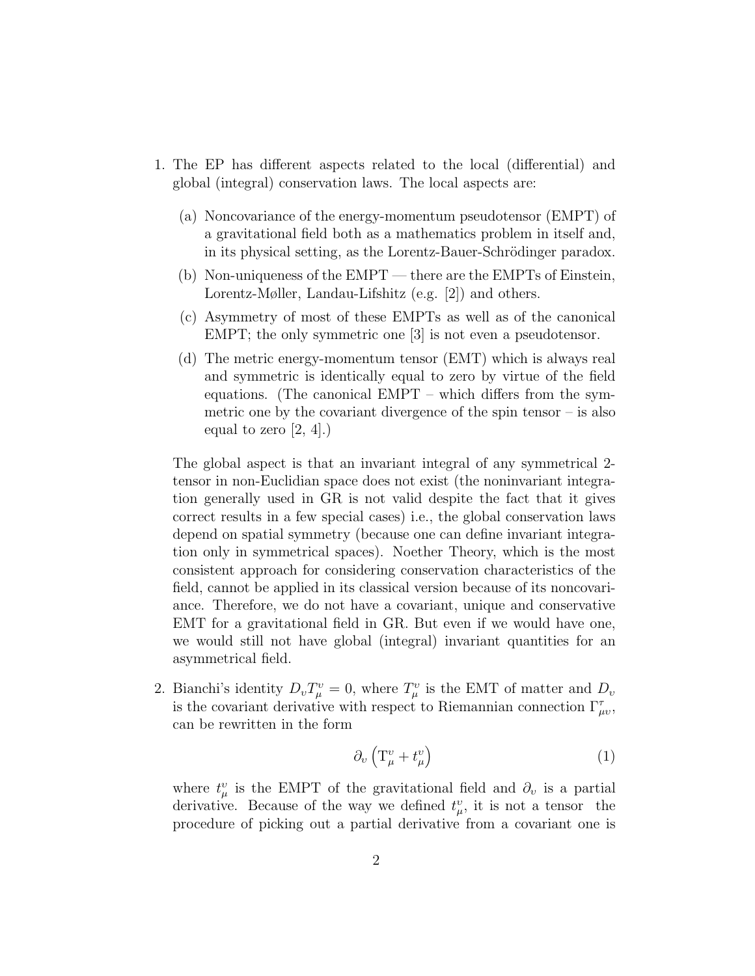- 1. The EP has different aspects related to the local (differential) and global (integral) conservation laws. The local aspects are:
	- (a) Noncovariance of the energy-momentum pseudotensor (EMPT) of a gravitational field both as a mathematics problem in itself and, in its physical setting, as the Lorentz-Bauer-Schrödinger paradox.
	- (b) Non-uniqueness of the EMPT there are the EMPTs of Einstein, Lorentz-Møller, Landau-Lifshitz (e.g. [2]) and others.
	- (c) Asymmetry of most of these EMPTs as well as of the canonical EMPT; the only symmetric one [3] is not even a pseudotensor.
	- (d) The metric energy-momentum tensor (EMT) which is always real and symmetric is identically equal to zero by virtue of the field equations. (The canonical EMPT – which differs from the symmetric one by the covariant divergence of the spin tensor – is also equal to zero  $[2, 4]$ .)

The global aspect is that an invariant integral of any symmetrical 2 tensor in non-Euclidian space does not exist (the noninvariant integration generally used in GR is not valid despite the fact that it gives correct results in a few special cases) i.e., the global conservation laws depend on spatial symmetry (because one can define invariant integration only in symmetrical spaces). Noether Theory, which is the most consistent approach for considering conservation characteristics of the field, cannot be applied in its classical version because of its noncovariance. Therefore, we do not have a covariant, unique and conservative EMT for a gravitational field in GR. But even if we would have one, we would still not have global (integral) invariant quantities for an asymmetrical field.

2. Bianchi's identity  $D_v T_\mu^v = 0$ , where  $T_\mu^v$  is the EMT of matter and  $D_v$ is the covariant derivative with respect to Riemannian connection  $\Gamma^{\tau}_{\mu\nu}$ , can be rewritten in the form

$$
\partial_v \left( \mathcal{T}^v_\mu + t^v_\mu \right) \tag{1}
$$

where  $t^v_\mu$  is the EMPT of the gravitational field and  $\partial_v$  is a partial derivative. Because of the way we defined  $t_{\mu}^v$ , it is not a tensor the procedure of picking out a partial derivative from a covariant one is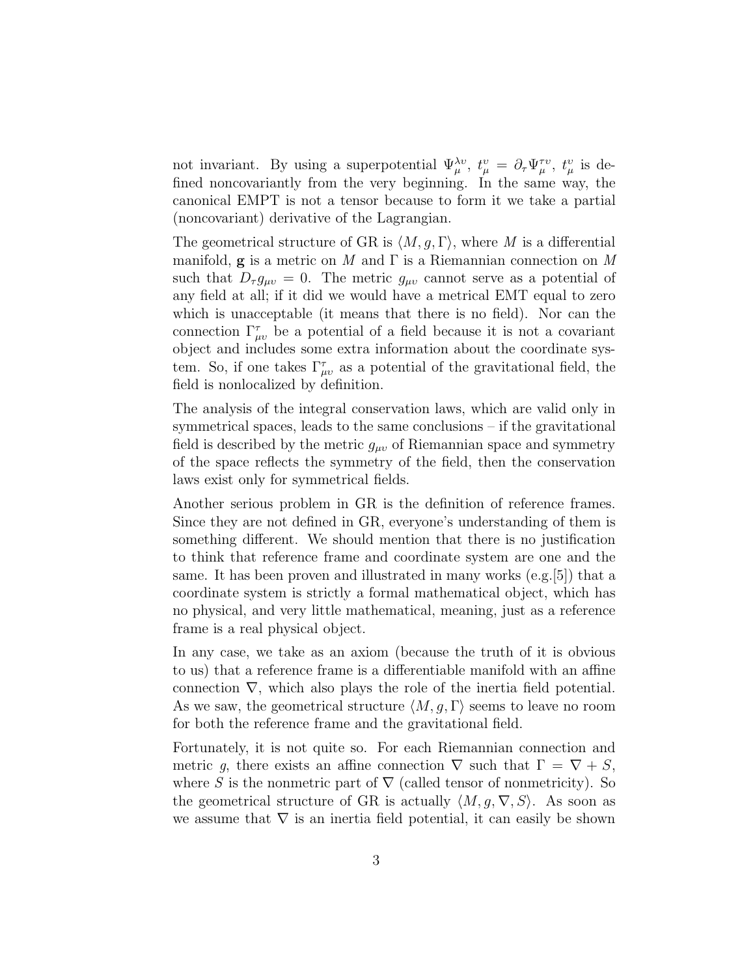not invariant. By using a superpotential  $\Psi_{\mu}^{\lambda v}$ ,  $t_{\mu}^{v} = \partial_{\tau} \Psi_{\mu}^{\tau v}$ ,  $t_{\mu}^{v}$  is defined noncovariantly from the very beginning. In the same way, the canonical EMPT is not a tensor because to form it we take a partial (noncovariant) derivative of the Lagrangian.

The geometrical structure of GR is  $\langle M, q, \Gamma \rangle$ , where M is a differential manifold, **g** is a metric on M and  $\Gamma$  is a Riemannian connection on M such that  $D_{\tau} g_{\mu\nu} = 0$ . The metric  $g_{\mu\nu}$  cannot serve as a potential of any field at all; if it did we would have a metrical EMT equal to zero which is unacceptable (it means that there is no field). Nor can the connection  $\Gamma^{\tau}_{\mu\nu}$  be a potential of a field because it is not a covariant object and includes some extra information about the coordinate system. So, if one takes  $\Gamma^{\tau}_{\mu\nu}$  as a potential of the gravitational field, the field is nonlocalized by definition.

The analysis of the integral conservation laws, which are valid only in symmetrical spaces, leads to the same conclusions – if the gravitational field is described by the metric  $g_{\mu\nu}$  of Riemannian space and symmetry of the space reflects the symmetry of the field, then the conservation laws exist only for symmetrical fields.

Another serious problem in GR is the definition of reference frames. Since they are not defined in GR, everyone's understanding of them is something different. We should mention that there is no justification to think that reference frame and coordinate system are one and the same. It has been proven and illustrated in many works (e.g.[5]) that a coordinate system is strictly a formal mathematical object, which has no physical, and very little mathematical, meaning, just as a reference frame is a real physical object.

In any case, we take as an axiom (because the truth of it is obvious to us) that a reference frame is a differentiable manifold with an affine connection  $\nabla$ , which also plays the role of the inertia field potential. As we saw, the geometrical structure  $\langle M, g, \Gamma \rangle$  seems to leave no room for both the reference frame and the gravitational field.

Fortunately, it is not quite so. For each Riemannian connection and metric g, there exists an affine connection  $\nabla$  such that  $\Gamma = \nabla + S$ , where S is the nonmetric part of  $\nabla$  (called tensor of nonmetricity). So the geometrical structure of GR is actually  $\langle M, g, \nabla, S \rangle$ . As soon as we assume that  $\nabla$  is an inertia field potential, it can easily be shown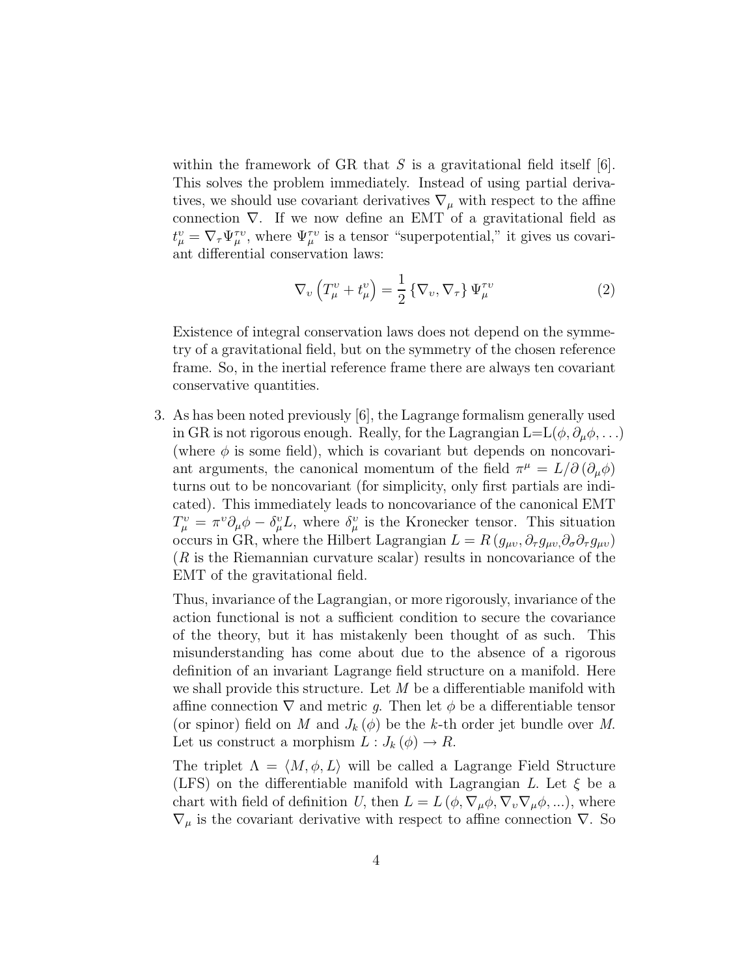within the framework of GR that S is a gravitational field itself  $[6]$ . This solves the problem immediately. Instead of using partial derivatives, we should use covariant derivatives  $\nabla_{\mu}$  with respect to the affine connection ∇. If we now define an EMT of a gravitational field as  $t^v_\mu = \nabla_\tau \Psi_\mu^{\tau v}$ , where  $\Psi_\mu^{\tau v}$  is a tensor "superpotential," it gives us covariant differential conservation laws:

$$
\nabla_v \left( T^v_\mu + t^v_\mu \right) = \frac{1}{2} \left\{ \nabla_v, \nabla_\tau \right\} \Psi^{\tau v}_\mu \tag{2}
$$

Existence of integral conservation laws does not depend on the symmetry of a gravitational field, but on the symmetry of the chosen reference frame. So, in the inertial reference frame there are always ten covariant conservative quantities.

3. As has been noted previously [6], the Lagrange formalism generally used in GR is not rigorous enough. Really, for the Lagrangian  $L=L(\phi, \partial_{\mu}\phi, \ldots)$ (where  $\phi$  is some field), which is covariant but depends on noncovariant arguments, the canonical momentum of the field  $\pi^{\mu} = L/\partial (\partial_{\mu}\phi)$ turns out to be noncovariant (for simplicity, only first partials are indicated). This immediately leads to noncovariance of the canonical EMT  $T_{\mu}^{\nu} = \pi^{\nu} \partial_{\mu} \phi - \delta_{\mu}^{\nu} L$ , where  $\delta_{\mu}^{\nu}$  is the Kronecker tensor. This situation occurs in GR, where the Hilbert Lagrangian  $L = R(g_{\mu\nu}, \partial_\tau g_{\mu\nu}, \partial_\sigma \partial_\tau g_{\mu\nu})$  $(R$  is the Riemannian curvature scalar) results in noncovariance of the EMT of the gravitational field.

Thus, invariance of the Lagrangian, or more rigorously, invariance of the action functional is not a sufficient condition to secure the covariance of the theory, but it has mistakenly been thought of as such. This misunderstanding has come about due to the absence of a rigorous definition of an invariant Lagrange field structure on a manifold. Here we shall provide this structure. Let  $M$  be a differentiable manifold with affine connection  $\nabla$  and metric q. Then let  $\phi$  be a differentiable tensor (or spinor) field on M and  $J_k(\phi)$  be the k-th order jet bundle over M. Let us construct a morphism  $L: J_k(\phi) \to R$ .

The triplet  $\Lambda = \langle M, \phi, L \rangle$  will be called a Lagrange Field Structure (LFS) on the differentiable manifold with Lagrangian L. Let  $\xi$  be a chart with field of definition U, then  $L = L(\phi, \nabla_{\mu} \phi, \nabla_{\nu} \nabla_{\mu} \phi, \ldots)$ , where  $\nabla_{\mu}$  is the covariant derivative with respect to affine connection  $\nabla$ . So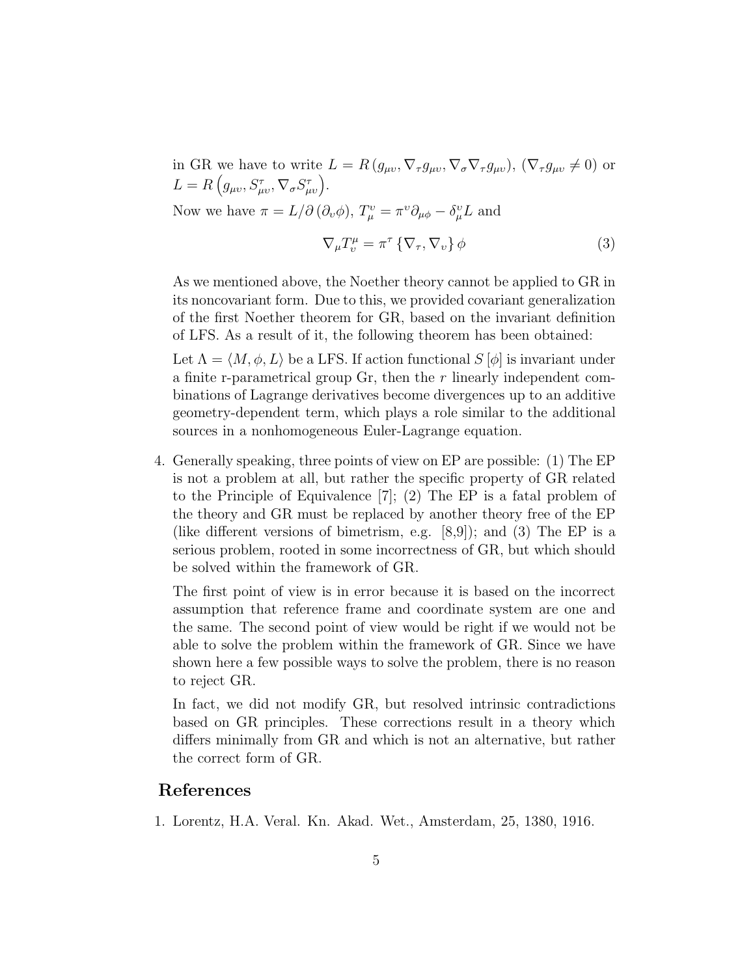in GR we have to write  $L = R(g_{\mu\nu}, \nabla_{\tau} g_{\mu\nu}, \nabla_{\sigma} \nabla_{\tau} g_{\mu\nu}), (\nabla_{\tau} g_{\mu\nu} \neq 0)$  or  $L = R(g_{\mu\nu}, S^{\tau}_{\mu\nu}, \nabla_{\sigma} S^{\tau}_{\mu\nu}).$ Now we have  $\pi = L/\partial (\partial_v \phi)$ ,  $T^v_\mu = \pi^v \partial_{\mu\phi} - \delta^v_\mu L$  and

$$
\nabla_{\mu}T_{\nu}^{\mu} = \pi^{\tau} \left\{ \nabla_{\tau}, \nabla_{\nu} \right\} \phi \tag{3}
$$

As we mentioned above, the Noether theory cannot be applied to GR in its noncovariant form. Due to this, we provided covariant generalization of the first Noether theorem for GR, based on the invariant definition of LFS. As a result of it, the following theorem has been obtained:

Let  $\Lambda = \langle M, \phi, L \rangle$  be a LFS. If action functional  $S [\phi]$  is invariant under a finite r-parametrical group  $\text{Gr}$ , then the r linearly independent combinations of Lagrange derivatives become divergences up to an additive geometry-dependent term, which plays a role similar to the additional sources in a nonhomogeneous Euler-Lagrange equation.

4. Generally speaking, three points of view on EP are possible: (1) The EP is not a problem at all, but rather the specific property of GR related to the Principle of Equivalence [7]; (2) The EP is a fatal problem of the theory and GR must be replaced by another theory free of the EP (like different versions of bimetrism, e.g. [8,9]); and (3) The EP is a serious problem, rooted in some incorrectness of GR, but which should be solved within the framework of GR.

The first point of view is in error because it is based on the incorrect assumption that reference frame and coordinate system are one and the same. The second point of view would be right if we would not be able to solve the problem within the framework of GR. Since we have shown here a few possible ways to solve the problem, there is no reason to reject GR.

In fact, we did not modify GR, but resolved intrinsic contradictions based on GR principles. These corrections result in a theory which differs minimally from GR and which is not an alternative, but rather the correct form of GR.

## References

1. Lorentz, H.A. Veral. Kn. Akad. Wet., Amsterdam, 25, 1380, 1916.